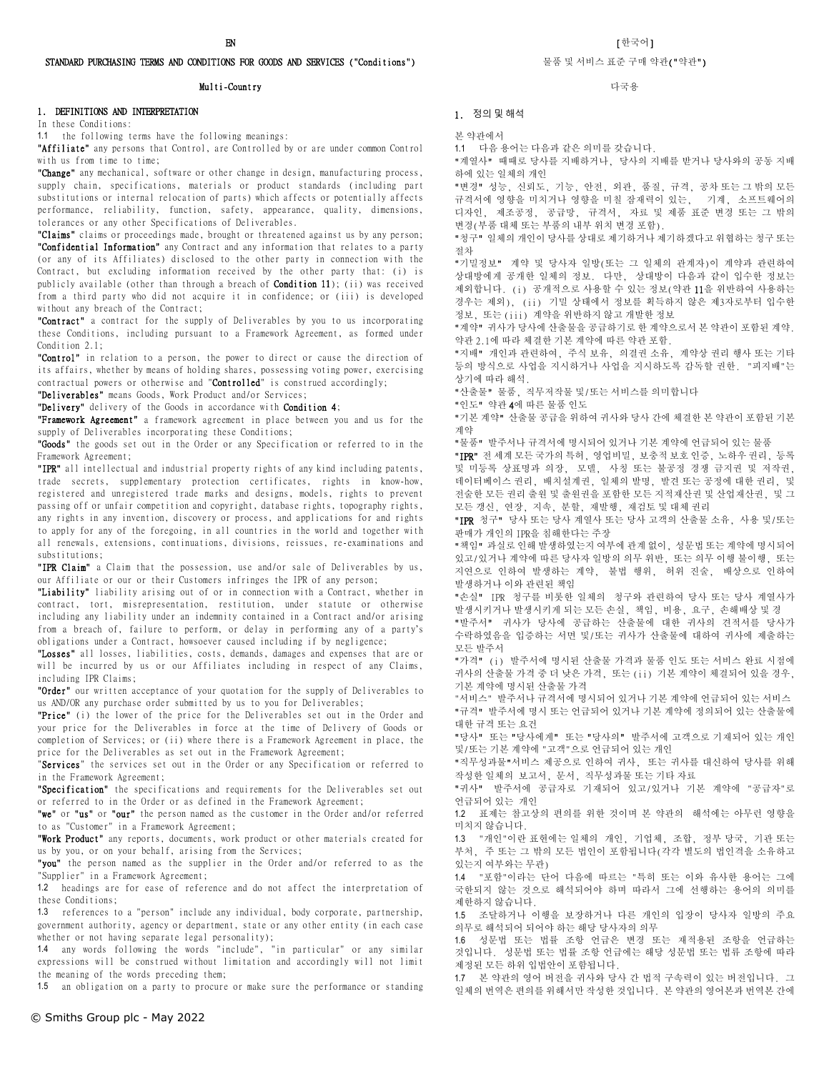### STANDARD PURCHASING TERMS AND CONDITIONS FOR GOODS AND SERVICES ("Conditions")

#### Multi-Country

### 1. DEFINITIONS AND INTERPRETATION

In these Conditions:

1.1 the following terms have the following meanings:

"Affiliate" any persons that Control, are Controlled by or are under common Control with us from time to time;

"Change" any mechanical, software or other change in design, manufacturing process, supply chain, specifications, materials or product standards (including part substitutions or internal relocation of parts) which affects or potentially affects performance, reliability, function, safety, appearance, quality, dimensions, tolerances or any other Specifications of Deliverables.

"Claims" claims or proceedings made, brought or threatened against us by any person; "Confidential Information" any Contract and any information that relates to a party (or any of its Affiliates) disclosed to the other party in connection with the Contract, but excluding information received by the other party that: (i) is publicly available (other than through a breach of Condition 11); (ii) was received from a third party who did not acquire it in confidence; or (iii) is developed without any breach of the Contract;

"Contract" a contract for the supply of Deliverables by you to us incorporating these Conditions, including pursuant to a Framework Agreement, as formed under Condition 2.1;

"Control" in relation to a person, the power to direct or cause the direction of its affairs, whether by means of holding shares, possessing voting power, exercising contractual powers or otherwise and "Controlled" is construed accordingly;

"Deliverables" means Goods, Work Product and/or Services;

"Delivery" delivery of the Goods in accordance with Condition 4;

"Framework Agreement" a framework agreement in place between you and us for the supply of Deliverables incorporating these Conditions;

"Goods" the goods set out in the Order or any Specification or referred to in the Framework Agreement;

"IPR" all intellectual and industrial property rights of any kind including patents, trade secrets, supplementary protection certificates, rights in know-how, registered and unregistered trade marks and designs, models, rights to prevent passing off or unfair competition and copyright, database rights, topography rights, any rights in any invention, discovery or process, and applications for and rights to apply for any of the foregoing, in all countries in the world and together with all renewals, extensions, continuations, divisions, reissues, re-examinations and substitutions;

"IPR Claim" a Claim that the possession, use and/or sale of Deliverables by us, our Affiliate or our or their Customers infringes the IPR of any person;

"Liability" liability arising out of or in connection with a Contract, whether in contract, tort, misrepresentation, restitution, under statute or otherwise including any liability under an indemnity contained in a Contract and/or arising from a breach of, failure to perform, or delay in performing any of a party's obligations under a Contract, howsoever caused including if by negligence;

"Losses" all losses, liabilities, costs, demands, damages and expenses that are or will be incurred by us or our Affiliates including in respect of any Claims, including IPR Claims;

"Order" our written acceptance of your quotation for the supply of Deliverables to us AND/OR any purchase order submitted by us to you for Deliverables;

"Price" (i) the lower of the price for the Deliverables set out in the Order and your price for the Deliverables in force at the time of Delivery of Goods or completion of Services; or (ii) where there is a Framework Agreement in place, the price for the Deliverables as set out in the Framework Agreement;

"Services" the services set out in the Order or any Specification or referred to in the Framework Agreement;

"Specification" the specifications and requirements for the Deliverables set out or referred to in the Order or as defined in the Framework Agreement;

"we" or "us" or "our" the person named as the customer in the Order and/or referred to as "Customer" in a Framework Agreement;

"Work Product" any reports, documents, work product or other materials created for us by you, or on your behalf, arising from the Services;

"you" the person named as the supplier in the Order and/or referred to as the "Supplier" in a Framework Agreement;

1.2 headings are for ease of reference and do not affect the interpretation of these Conditions;

1.3 references to a "person" include any individual, body corporate, partnership, government authority, agency or department, state or any other entity (in each case whether or not having separate legal personality);

1.4 any words following the words "include", "in particular" or any similar expressions will be construed without limitation and accordingly will not limit the meaning of the words preceding them;

1.5 an obligation on a party to procure or make sure the performance or standing

 $\,$ EN  $\,$  [한국어]  $\,$ 

#### 물품 및 서비스 표준 구매 약관("약관")

다국용

#### 1. 정의 및 해석

본 약관에서

1.1 다음 용어는 다음과 같은 의미를 갖습니다.

"계열사" 때때로 당사를 지배하거나, 당사의 지배를 받거나 당사와의 공동 지배 하에 있는 일체의 개인

"변경" 성능, 신뢰도, 기능, 안전, 외관, 품질, 규격, 공차 또는 그 밖의 모든 규격서에 영향을 미치거나 영향을 미칠 잠재력이 있는, 기계, 소프트웨어의 디자인, 제조공정, 공급망, 규격서, 자료 및 제품 표준 변경 또는 그 밖의 변경(부품 대체 또는 부품의 내부 위치 변경 포함).

"청구" 일체의 개인이 당사를 상대로 제기하거나 제기하겠다고 위협하는 청구 또는 절차

"기밀정보" 계약 및 당사자 일방(또는 그 일체의 관계자)이 계약과 관련하여 상대방에게 공개한 일체의 정보. 다만, 상대방이 다음과 같이 입수한 정보는 제외합니다. (i) 공개적으로 사용할 수 있는 정보(약관 11을 위반하여 사용하는 경우는 제외), (ii) 기밀 상태에서 정보를 획득하지 않은 제3자로부터 입수한 정보, 또는 (iii) 계약을 위반하지 않고 개발한 정보

"계약" 귀사가 당사에 산출물을 공급하기로 한 계약으로서 본 약관이 포함된 계약. 약관 2.1에 따라 체결한 기본 계약에 따른 약관 포함.

"지배" 개인과 관련하여, 주식 보유, 의결권 소유, 계약상 권리 행사 또는 기타 등의 방식으로 사업을 지시하거나 사업을 지시하도록 감독할 권한. "피지배"는 상기에 따라 해석.

"산출물" 물품, 직무저작물 및/또는 서비스를 의미합니다

"인도" 약관 4에 따른 물품 인도

"기본 계약" 산출물 공급을 위하여 귀사와 당사 간에 체결한 본 약관이 포함된 기본 계약

"물품" 발주서나 규격서에 명시되어 있거나 기본 계약에 언급되어 있는 물품

"IPR" 전 세계 모든 국가의 특허, 영업비밀, 보충적 보호 인증, 노하우 권리, 등록 및 미등록 상표명과 의장, 모델, 사칭 또는 불공정 경쟁 금지권 및 저작권, 데이터베이스 권리, 배치설계권, 일체의 발명, 발견 또는 공정에 대한 권리, 및 전술한 모든 권리 출원 및 출원권을 포함한 모든 지적재산권 및 산업재산권, 및 그 모든 갱신, 연장, 지속, 분할, 재발행, 재검토 및 대체 권리

"IPR 청구" 당사 또는 당사 계열사 또는 당사 고객의 산출물 소유, 사용 및/또는 판매가 개인의 IPR을 침해한다는 주장

"책임" 과실로 인해 발생하였는지 여부에 관계 없이, 성문법 또는 계약에 명시되어 있고/있거나 계약에 따른 당사자 일방의 의무 위반, 또는 의무 이행 불이행, 또는 지연으로 인하여 발생하는 계약, 불법 행위, 허위 진술, 배상으로 인하여 발생하거나 이와 관련된 책임

"손실" IPR 청구를 비롯한 일체의 청구와 관련하여 당사 또는 당사 계열사가 발생시키거나 발생시키게 되는 모든 손실, 책임, 비용, 요구, 손해배상 및 경

"발주서" 귀사가 당사에 공급하는 산출물에 대한 귀사의 견적서를 당사가 수락하였음을 입증하는 서면 및/또는 귀사가 산출물에 대하여 귀사에 제출하는 모든 발주서

"가격" (i) 발주서에 명시된 산출물 가격과 물품 인도 또는 서비스 완료 시점에 귀사의 산출물 가격 중 더 낮은 가격, 또는 (ii) 기본 계약이 체결되어 있을 경우, 기본 계약에 명시된 산출물 가격

"서비스" 발주서나 규격서에 명시되어 있거나 기본 계약에 언급되어 있는 서비스 "규격" 발주서에 명시 또는 언급되어 있거나 기본 계약에 정의되어 있는 산출물에 대한 규격 또는 요건

"당사" 또는 "당사에게" 또는 "당사의" 발주서에 고객으로 기재되어 있는 개인 및/또는 기본 계약에 "고객"으로 언급되어 있는 개인

"직무성과물"서비스 제공으로 인하여 귀사, 또는 귀사를 대신하여 당사를 위해 작성한 일체의 보고서, 문서, 직무성과물 또는 기타 자료

"귀사" 발주서에 공급자로 기재되어 있고/있거나 기본 계약에 "공급자"로 언급되어 있는 개인

1.2 표제는 참고상의 편의를 위한 것이며 본 약관의 해석에는 아무런 영향을 미치지 않습니다.

1.3 "개인"이란 표현에는 일체의 개인, 기업체, 조합, 정부 당국, 기관 또는 부처, 주 또는 그 밖의 모든 법인이 포함됩니다(각각 별도의 법인격을 소유하고 있는지 여부와는 무관)

1.4 "포함"이라는 단어 다음에 따르는 "특히 또는 이와 유사한 용어는 그에 국한되지 않는 것으로 해석되어야 하며 따라서 그에 선행하는 용어의 의미를 제한하지 않습니다.

1.5 조달하거나 이행을 보장하거나 다른 개인의 입장이 당사자 일방의 주요 의무로 해석되어 되어야 하는 해당 당사자의 의무

1.6 성문법 또는 법률 조항 언급은 변경 또는 재적용된 조항을 언급하는 것입니다. 성문법 또는 법률 조항 언급에는 해당 성문법 또는 법류 조항에 따라 제정된 모든 하위 입법안이 포함됩니다.

1.7 본 약관의 영어 버전을 귀사와 당사 간 법적 구속력이 있는 버전입니다. 그 일체의 번역은 편의를 위해서만 작성한 것입니다. 본 약관의 영어본과 번역본 간에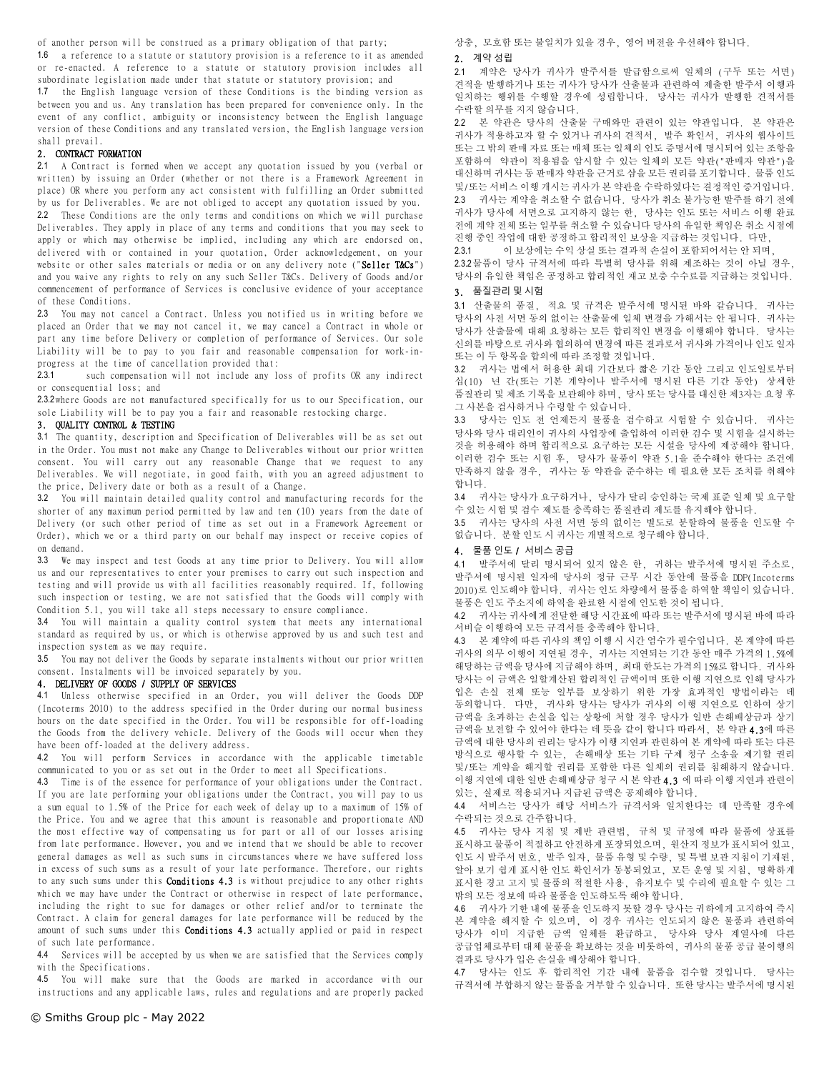of another person will be construed as a primary obligation of that party;

1.6 a reference to a statute or statutory provision is a reference to it as amended or re-enacted. A reference to a statute or statutory provision includes all subordinate legislation made under that statute or statutory provision; and

1.7 the English language version of these Conditions is the binding version as between you and us. Any translation has been prepared for convenience only. In the event of any conflict, ambiguity or inconsistency between the English language version of these Conditions and any translated version, the English language version shall prevail.

### 2. CONTRACT FORMATION

2.1 A Contract is formed when we accept any quotation issued by you (verbal or written) by issuing an Order (whether or not there is a Framework Agreement in place) OR where you perform any act consistent with fulfilling an Order submitted by us for Deliverables. We are not obliged to accept any quotation issued by you. 2.2 These Conditions are the only terms and conditions on which we will purchase Deliverables. They apply in place of any terms and conditions that you may seek to apply or which may otherwise be implied, including any which are endorsed on, delivered with or contained in your quotation, Order acknowledgement, on your website or other sales materials or media or on any delivery note ("Seller T&Cs") and you waive any rights to rely on any such Seller T&Cs. Delivery of Goods and/or commencement of performance of Services is conclusive evidence of your acceptance of these Conditions.

2.3 You may not cancel a Contract. Unless you notified us in writing before we placed an Order that we may not cancel it, we may cancel a Contract in whole or part any time before Delivery or completion of performance of Services. Our sole Liability will be to pay to you fair and reasonable compensation for work-inprogress at the time of cancellation provided that:

2.3.1 such compensation will not include any loss of profits OR any indirect or consequential loss; and

2.3.2 where Goods are not manufactured specifically for us to our Specification, our sole Liability will be to pay you a fair and reasonable restocking charge.

## 3. QUALITY CONTROL & TESTING

3.1 The quantity, description and Specification of Deliverables will be as set out in the Order. You must not make any Change to Deliverables without our prior written consent. You will carry out any reasonable Change that we request to any Deliverables. We will negotiate, in good faith, with you an agreed adjustment to the price, Delivery date or both as a result of a Change.

3.2 You will maintain detailed quality control and manufacturing records for the shorter of any maximum period permitted by law and ten (10) years from the date of Delivery (or such other period of time as set out in a Framework Agreement or Order), which we or a third party on our behalf may inspect or receive copies of on demand.

3.3 We may inspect and test Goods at any time prior to Delivery. You will allow us and our representatives to enter your premises to carry out such inspection and testing and will provide us with all facilities reasonably required. If, following such inspection or testing, we are not satisfied that the Goods will comply with Condition 5.1, you will take all steps necessary to ensure compliance.

3.4 You will maintain a quality control system that meets any international standard as required by us, or which is otherwise approved by us and such test and inspection system as we may require.

3.5 You may not deliver the Goods by separate instalments without our prior written consent. Instalments will be invoiced separately by you.

## 4. DELIVERY OF GOODS / SUPPLY OF SERVICES

4.1 Unless otherwise specified in an Order, you will deliver the Goods DDP (Incoterms 2010) to the address specified in the Order during our normal business hours on the date specified in the Order. You will be responsible for off-loading the Goods from the delivery vehicle. Delivery of the Goods will occur when they have been off-loaded at the delivery address.

4.2 You will perform Services in accordance with the applicable timetable communicated to you or as set out in the Order to meet all Specifications.

4.3 Time is of the essence for performance of your obligations under the Contract. If you are late performing your obligations under the Contract, you will pay to us a sum equal to 1.5% of the Price for each week of delay up to a maximum of 15% of the Price. You and we agree that this amount is reasonable and proportionate AND the most effective way of compensating us for part or all of our losses arising from late performance. However, you and we intend that we should be able to recover general damages as well as such sums in circumstances where we have suffered loss in excess of such sums as a result of your late performance. Therefore, our rights to any such sums under this Conditions 4.3 is without prejudice to any other rights which we may have under the Contract or otherwise in respect of late performance, including the right to sue for damages or other relief and/or to terminate the Contract. A claim for general damages for late performance will be reduced by the amount of such sums under this **Conditions 4.3** actually applied or paid in respect of such late performance.

4.4 Services will be accepted by us when we are satisfied that the Services comply with the Specifications.

4.5 You will make sure that the Goods are marked in accordance with our instructions and any applicable laws, rules and regulations and are properly packed 상충, 모호함 또는 불일치가 있을 경우, 영어 버전을 우선해야 합니다.

#### 2. 계약 성립

2.1 계약은 당사가 귀사가 발주서를 발급함으로써 일체의 (구두 또는 서면) 견적을 발행하거나 또는 귀사가 당사가 산출물과 관련하여 제출한 발주서 이행과 일치하는 행위를 수행할 경우에 성립합니다. 당사는 귀사가 발행한 견적서를 수락할 의무를 지지 않습니다.

2.2 본 약관은 당사의 산출물 구매와만 관련이 있는 약관입니다. 본 약관은 귀사가 적용하고자 할 수 있거나 귀사의 견적서, 발주 확인서, 귀사의 웹사이트 또는 그 밖의 판매 자료 또는 매체 또는 일체의 인도 증명서에 명시되어 있는 조항을 포함하여 약관이 적용됨을 암시할 수 있는 일체의 모든 약관("판매자 약관")을 대신하며 귀사는 동 판매자 약관을 근거로 삼을 모든 권리를 포기합니다. 물품 인도 및/또는 서비스 이행 개시는 귀사가 본 약관을 수락하였다는 결정적인 증거입니다. 2.3 귀사는 계약을 취소할 수 없습니다. 당사가 취소 불가능한 발주를 하기 전에 귀사가 당사에 서면으로 고지하지 않는 한, 당사는 인도 또는 서비스 이행 완료 전에 계약 전체 또는 일부를 취소할 수 있습니다 당사의 유일한 책임은 취소 시점에 진행 중인 작업에 대한 공정하고 합리적인 보상을 지급하는 것입니다. 다만,

2.3.1 이 보상에는 수익 상실 또는 결과적 손실이 포함되어서는 안 되며,

2.3.2물품이 당사 규격서에 따라 특별히 당사를 위해 제조하는 것이 아닐 경우, 당사의 유일한 책임은 공정하고 합리적인 재고 보충 수수료를 지급하는 것입니다.

## 3. 품질관리 및 시험

3.1 산출물의 품질, 적요 및 규격은 발주서에 명시된 바와 같습니다. 귀사는 당사의 사전 서면 동의 없이는 산출물에 일체 변경을 가해서는 안 됩니다. 귀사는 당사가 산출물에 대해 요청하는 모든 합리적인 변경을 이행해야 합니다. 당사는 신의를 바탕으로 귀사와 협의하여 변경에 따른 결과로서 귀사와 가격이나 인도 일자 또는 이 두 항목을 합의에 따라 조정할 것입니다.

3.2 귀사는 법에서 허용한 최대 기간보다 짧은 기간 동안 그리고 인도일로부터 십(10) 년 간(또는 기본 계약이나 발주서에 명시된 다른 기간 동안) 상세한 ........<br>품질관리 및 제조 기록을 보관해야 하며, 당사 또는 당사를 대신한 제3자는 요청 후 그 사본을 검사하거나 수령할 수 있습니다.

3.3 당사는 인도 전 언제든지 물품을 검수하고 시험할 수 있습니다. 귀사는 당사와 당사 대리인이 귀사의 사업장에 출입하여 이러한 검수 및 시험을 실시하는 것을 허용해야 하며 합리적으로 요구하는 모든 시설을 당사에 제공해야 합니다. 이러한 검수 또는 시험 후, 당사가 물품이 약관 5.1을 준수해야 한다는 조건에 만족하지 않을 경우, 귀사는 동 약관을 준수하는 데 필요한 모든 조치를 취해야 합니다.

3.4 귀사는 당사가 요구하거나, 당사가 달리 승인하는 국제 표준 일체 및 요구할 수 있는 시험 및 검수 제도를 충족하는 품질관리 제도를 유지해야 합니다.

3.5 귀사는 당사의 사전 서면 동의 없이는 별도로 분할하여 물품을 인도할 수 없습니다. 분할 인도 시 귀사는 개별적으로 청구해야 합니다.

#### 4. 물품 인도 / 서비스 공급

4.1 발주서에 달리 명시되어 있지 않은 한, 귀하는 발주서에 명시된 주소로, 발주서에 명시된 일자에 당사의 정규 근무 시간 동안에 물품을 DDP(Incoterms 2010)로 인도해야 합니다. 귀사는 인도 차량에서 물품을 하역할 책임이 있습니다. 물품은 인도 주소지에 하역을 완료한 시점에 인도한 것이 됩니다.

4.2 귀사는 귀사에게 전달한 해당 시간표에 따라 또는 발주서에 명시된 바에 따라 서비슬 이행하여 모든 규격서를 충족해야 합니다.

| 4.3 본 계약에 따른 귀사의 책임 이행 시 시간 엄수가 필수입니다. 본 계약에 따른  |
|--------------------------------------------------|
| 귀사의 의무 이행이 지연될 경우, 귀사는 지연되는 기간 동안 매주 가격의 1.5%에   |
| 해당하는 금액을 당사에 지급해야 하며, 최대 한도는 가격의 15%로 합니다. 귀사와   |
| 당사는 이 금액은 일할계사된 합리적인 금액이며 또하 이행 지연으로 인해 당사가      |
| 입은 손실 전체 또능 일부를 보상하기 위한 가장 효과적인 방법이라는 데          |
| 동의합니다. 다만, 귀사와 당사는 당사가 귀사의 이행 지연으로 인하여 상기        |
| 금액을 초과하는 손실을 입는 상황에 처할 경우 당사가 일반 손해배상금과 상기       |
| 금액을 보전할 수 있어야 한다는 데 뜻을 같이 합니다 따라서, 본 약관 4.3에 따른  |
| 금액에 대한 당사의 권리는 당사가 이행 지연과 관련하여 본 계약에 따라 또는 다른    |
| 방식으로 행사할 수 있는. 손해배상 또는 기타 구제 청구 소송을 제기할 권리       |
| 및/또는 계약을 해지할 권리를 포함한 다른 일체의 권리를 침해하지 않습니다.       |
| 이행 지연에 대한 일반 손해배상금 청구 시 본 약관 4.3 에 따라 이행 지연과 관련이 |
| 있는, 실제로 적용되거나 지급된 금액은 공제해야 합니다.                  |

4.4 서비스는 당사가 해당 서비스가 규격서와 일치한다는 데 만족할 경우에 수락되는 것으로 간주합니다.

4.5 귀사는 당사 지침 및 제반 관련법, 규칙 및 규정에 따라 물품에 상표를 표시하고 물품이 적절하고 안전하게 포장되었으며, 원산지 정보가 표시되어 있고, 인도 시 발주서 번호, 발주 일자, 물품 유형 및 수량, 및 특별 보관 지침이 기재된, 알아 보기 쉽게 표시한 인도 확인서가 동봉되었고, 모든 운영 및 지침, 명확하게 표시한 경고 고지 및 물품의 적절한 사용, 유지보수 및 수리에 필요할 수 있는 그 밖의 모든 정보에 따라 물품을 인도하도록 해야 합니다.

4.6 귀사가 기한 내에 물품을 인도하지 못할 경우 당사는 귀하에게 고지하여 즉시 본 계약을 해지할 수 있으며, 이 경우 귀사는 인도되지 않은 물품과 관련하여 당사가 이미 지급한 금액 일체를 환급하고, 당사와 당사 계열사에 다른 공급업체로부터 대체 물품을 확보하는 것을 비롯하여, 귀사의 물품 공급 불이행의 결과로 당사가 입은 손실을 배상해야 합니다.

4.7 당사는 인도 후 합리적인 기간 내에 물품을 검수할 것입니다. 당사는 규격서에 부합하지 않는 물품을 거부할 수 있습니다. 또한 당사는 발주서에 명시된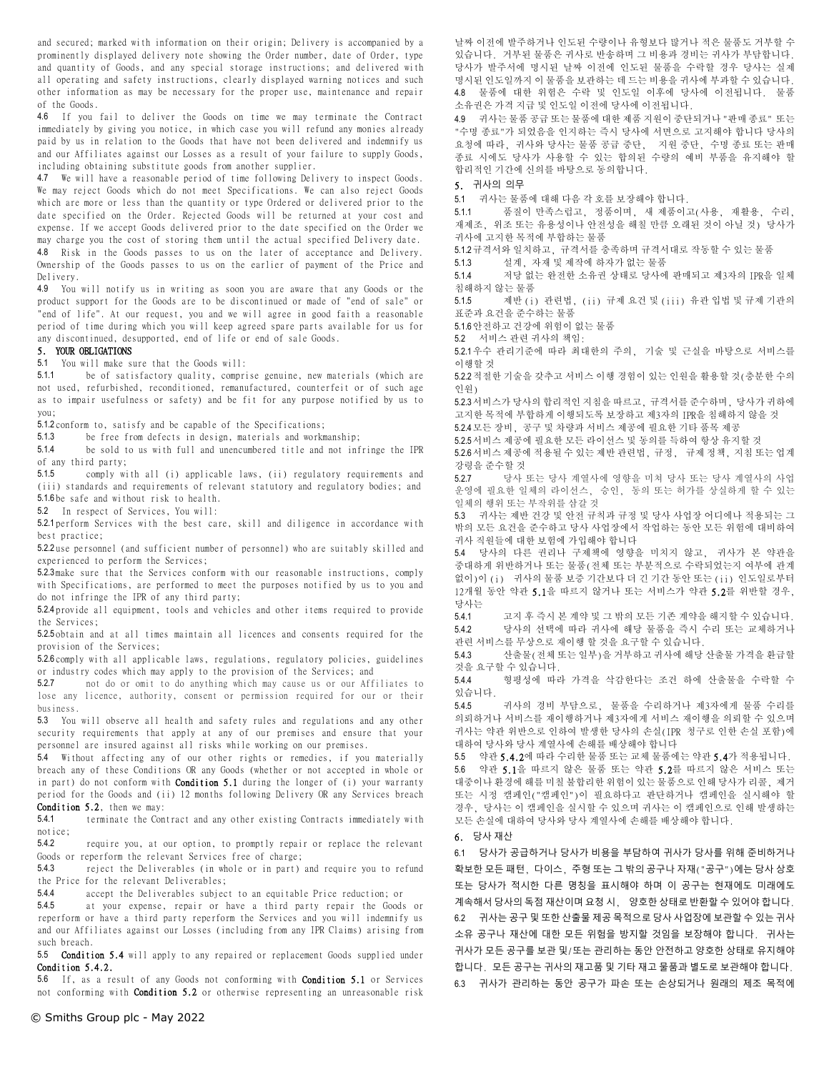and secured; marked with information on their origin; Delivery is accompanied by a prominently displayed delivery note showing the Order number, date of Order, type and quantity of Goods, and any special storage instructions; and delivered with all operating and safety instructions, clearly displayed warning notices and such other information as may be necessary for the proper use, maintenance and repair of the Goods.

4.6 If you fail to deliver the Goods on time we may terminate the Contract immediately by giving you notice, in which case you will refund any monies already paid by us in relation to the Goods that have not been delivered and indemnify us and our Affiliates against our Losses as a result of your failure to supply Goods, including obtaining substitute goods from another supplier.

4.7 We will have a reasonable period of time following Delivery to inspect Goods. We may reject Goods which do not meet Specifications. We can also reject Goods which are more or less than the quantity or type Ordered or delivered prior to the date specified on the Order. Rejected Goods will be returned at your cost and expense. If we accept Goods delivered prior to the date specified on the Order we may charge you the cost of storing them until the actual specified Delivery date. 4.8 Risk in the Goods passes to us on the later of acceptance and Delivery. Ownership of the Goods passes to us on the earlier of payment of the Price and Delivery.

4.9 You will notify us in writing as soon you are aware that any Goods or the product support for the Goods are to be discontinued or made of "end of sale" or "end of life". At our request, you and we will agree in good faith a reasonable period of time during which you will keep agreed spare parts available for us for any discontinued, desupported, end of life or end of sale Goods.

### 5. YOUR OBLIGATIONS

5.1 You will make sure that the Goods will:

5.1.1 be of satisfactory quality, comprise genuine, new materials (which are not used, refurbished, reconditioned, remanufactured, counterfeit or of such age as to impair usefulness or safety) and be fit for any purpose notified by us to you;

5.1.2 conform to, satisfy and be capable of the Specifications;

5.1.3 be free from defects in design, materials and workmanship;

5.1.4 be sold to us with full and unencumbered title and not infringe the IPR of any third party;

5.1.5 comply with all (i) applicable laws, (ii) regulatory requirements and (iii) standards and requirements of relevant statutory and regulatory bodies; and 5.1.6 be safe and without risk to health.

5.2 In respect of Services, You will:

5.2.1 perform Services with the best care, skill and diligence in accordance with best practice;

5.2.2 use personnel (and sufficient number of personnel) who are suitably skilled and experienced to perform the Services;

5.2.3 make sure that the Services conform with our reasonable instructions, comply with Specifications, are performed to meet the purposes notified by us to you and do not infringe the IPR of any third party;

5.2.4 provide all equipment, tools and vehicles and other items required to provide the Services;

5.2.5 obtain and at all times maintain all licences and consents required for the provision of the Services;

5.2.6 comply with all applicable laws, regulations, regulatory policies, guidelines or industry codes which may apply to the provision of the Services; and 527 not do or omit to do anything which may cause us or our Affi

5.2.7 not do or omit to do anything which may cause us or our Affiliates to lose any licence, authority, consent or permission required for our or their business.

5.3 You will observe all health and safety rules and regulations and any other security requirements that apply at any of our premises and ensure that your personnel are insured against all risks while working on our premises.

5.4 Without affecting any of our other rights or remedies, if you materially breach any of these Conditions OR any Goods (whether or not accepted in whole or in part) do not conform with **Condition 5.1** during the longer of (i) your warranty period for the Goods and (ii) 12 months following Delivery OR any Services breach Condition 5.2, then we may:

5.4.1 terminate the Contract and any other existing Contracts immediately with notice;

5.4.2 require you, at our option, to promptly repair or replace the relevant Goods or reperform the relevant Services free of charge;

5.4.3 reject the Deliverables (in whole or in part) and require you to refund the Price for the relevant Deliverables;

5.4.4 accept the Deliverables subject to an equitable Price reduction; or

5.4.5 at your expense, repair or have a third party repair the Goods or reperform or have a third party reperform the Services and you will indemnify us and our Affiliates against our Losses (including from any IPR Claims) arising from such breach.

5.5 Condition 5.4 will apply to any repaired or replacement Goods supplied under Condition 5.4.2.

5.6 If, as a result of any Goods not conforming with Condition 5.1 or Services not conforming with Condition 5.2 or otherwise representing an unreasonable risk

날짜 이전에 발주하거나 인도된 수량이나 유형보다 많거나 적은 물품도 거부할 수 있습니다. 거부된 물품은 귀사로 반송하며 그 비용과 경비는 귀사가 부담합니다. 당사가 발주서에 명시된 날짜 이전에 인도된 물품을 수락할 경우 당사는 실제 명시된 인도일까지 이 물품을 보관하는 데 드는 비용을 귀사에 부과할 수 있습니다. 4.8 물품에 대한 위험은 수락 및 인도일 이후에 당사에 이전됩니다. 물품 소유권은 가격 지급 및 인도일 이전에 당사에 이전됩니다.

4.9 귀사는 물품 공급 또는 물품에 대한 제품 지원이 중단되거나 "판매 종료" 또는 "수명 종료"가 되었음을 인지하는 즉시 당사에 서면으로 고지해야 합니다 당사의 요청에 따라, 귀사와 당사는 물품 공급 중단, 지원 중단, 수명 종료 또는 판매 종료 시에도 당사가 사용할 수 있는 합의된 수량의 예비 부품을 유지해야 할 합리적인 기간에 신의를 바탕으로 동의합니다.

#### 5. 귀사의 의무

5.1 귀사는 물품에 대해 다음 각 호를 보장해야 합니다.

5.1.1 품질이 만족스럽고, 정품이며, 새 제품이고(사용, 재활용, 수리, 재제조, 위조 또는 유용성이나 안전성을 해칠 만큼 오래된 것이 아닐 것) 당사가 귀사에 고지한 목적에 부합하는 물품

5.1.2규격서와 일치하고, 규격서를 충족하며 규격서대로 작동할 수 있는 물품

5.1.3 설계, 자재 및 제작에 하자가 없는 물품

5.1.4 저당 없는 완전한 소유권 상태로 당사에 판매되고 제3자의 IPR을 일체 침해하지 않는 물품

5.1.5 제반 (i) 관련법, (ii) 규제 요건 및 (iii) 유관 입법 및 규제 기관의 표준과 요건을 준수하는 물품

5.1.6안전하고 건강에 위험이 없는 물품

5.2 서비스 관련 귀사의 책임:

5.2.1우수 관리기준에 따라 최대한의 주의, 기술 및 근실을 바탕으로 서비스를 이행할 것

5.2.2적절한 기술을 갖추고 서비스 이행 경험이 있는 인원을 활용할 것(충분한 수의 인원)

5.2.3서비스가 당사의 합리적인 지침을 따르고, 규격서를 준수하며, 당사가 귀하에 고지한 목적에 부합하게 이행되도록 보장하고 제3자의 IPR을 침해하지 않을 것

5.2.4모든 장비, 공구 및 차량과 서비스 제공에 필요한 기타 품목 제공

5.2.5서비스 제공에 필요한 모든 라이선스 및 동의를 득하여 항상 유지할 것 5.2.6서비스 제공에 적용될 수 있는 제반 관련법, 규정, 규제 정책, 지침 또는 업계 강령을 준수할 것

5.2.7 당사 또는 당사 계열사에 영향을 미쳐 당사 또는 당사 계열사의 사업 운영에 필요한 일체의 라이선스, 승인, 동의 또는 허가를 상실하게 할 수 있는 일체의 행위 또는 부작위를 삼갈 것

5.3 귀사는 제반 건강 및 안전 규칙과 규정 및 당사 사업장 어디에나 적용되는 그 밖의 모든 요건을 준수하고 당사 사업장에서 작업하는 동안 모든 위험에 대비하여 귀사 직원들에 대한 보험에 가입해야 합니다

5.4 당사의 다른 권리나 구제책에 영향을 미치지 않고, 귀사가 본 약관을 중대하게 위반하거나 또는 물품(전체 또는 부분적으로 수락되었는지 여부에 관계 없이)이 (i) 귀사의 물품 보증 기간보다 더 긴 기간 동안 또는 (ii) 인도일로부터 12개월 동안 약관 5.1을 따르지 않거나 또는 서비스가 약관 5.2를 위반할 경우, 당사는

5.4.1 고지 후 즉시 본 계약 및 그 밖의 모든 기존 계약을 해지할 수 있습니다.

5.4.2 당사의 선택에 따라 귀사에 해당 물품을 즉시 수리 또는 교체하거나 관련 서비스를 무상으로 재이행 할 것을 요구할 수 있습니다.

5.4.3 산출물(전체 또는 일부)을 거부하고 귀사에 해당 산출물 가격을 환급할 것을 요구할 수 있습니다.

5.4.4 형평성에 따라 가격을 삭감한다는 조건 하에 산출물을 수락할 수 있습니다.

5.4.5 귀사의 경비 부담으로, 물품을 수리하거나 제3자에게 물품 수리를 의뢰하거나 서비스를 재이행하거나 제3자에게 서비스 재이행을 의뢰할 수 있으며 귀사는 약관 위반으로 인하여 발생한 당사의 손실(IPR 청구로 인한 손실 포함)에 대하여 당사와 당사 계열사에 손해를 배상해야 합니다

5.5 약관 5.4.2에 따라 수리한 물품 또는 교체 물품에는 약관 5.4가 적용됩니다. 5.6 약관 5.1을 따르지 않은 물품 또는 약관 5.2를 따르지 않은 서비스 또는 대중이나 환경에 해를 미칠 불합리한 위험이 있는 물품으로 인해 당사가 리콜, 제거 또는 시정 캠페인("캠페인")이 필요하다고 판단하거나 캠페인을 실시해야 할 경우, 당사는 이 캠페인을 실시할 수 있으며 귀사는 이 캠페인으로 인해 발생하는 모든 손실에 대하여 당사와 당사 계열사에 손해를 배상해야 합니다.

6. 당사 재산

6.1 당사가 공급하거나 당사가 비용을 부담하여 귀사가 당사를 위해 준비하거나 확보한 모든 패턴, 다이스, 주형 또는 그 밖의 공구나 자재("공구")에는 당사 상호 또는 당사가 적시한 다른 명칭을 표시해야 하며 이 공구는 현재에도 미래에도 계속해서 당사의 독점 재산이며 요청 시, 양호한 상태로 반환할 수 있어야 합니다. 6.2 귀사는 공구 및 또한 산출물 제공 목적으로 당사 사업장에 보관할 수 있는 귀사 소유 공구나 재산에 대한 모든 위험을 방지할 것임을 보장해야 합니다. 귀사는 귀사가 모든 공구를 보관 및/또는 관리하는 동안 안전하고 양호한 상태로 유지해야 합니다. 모든 공구는 귀사의 재고품 및 기타 재고 물품과 별도로 보관해야 합니다.

6.3 귀사가 관리하는 동안 공구가 파손 또는 손상되거나 원래의 제조 목적에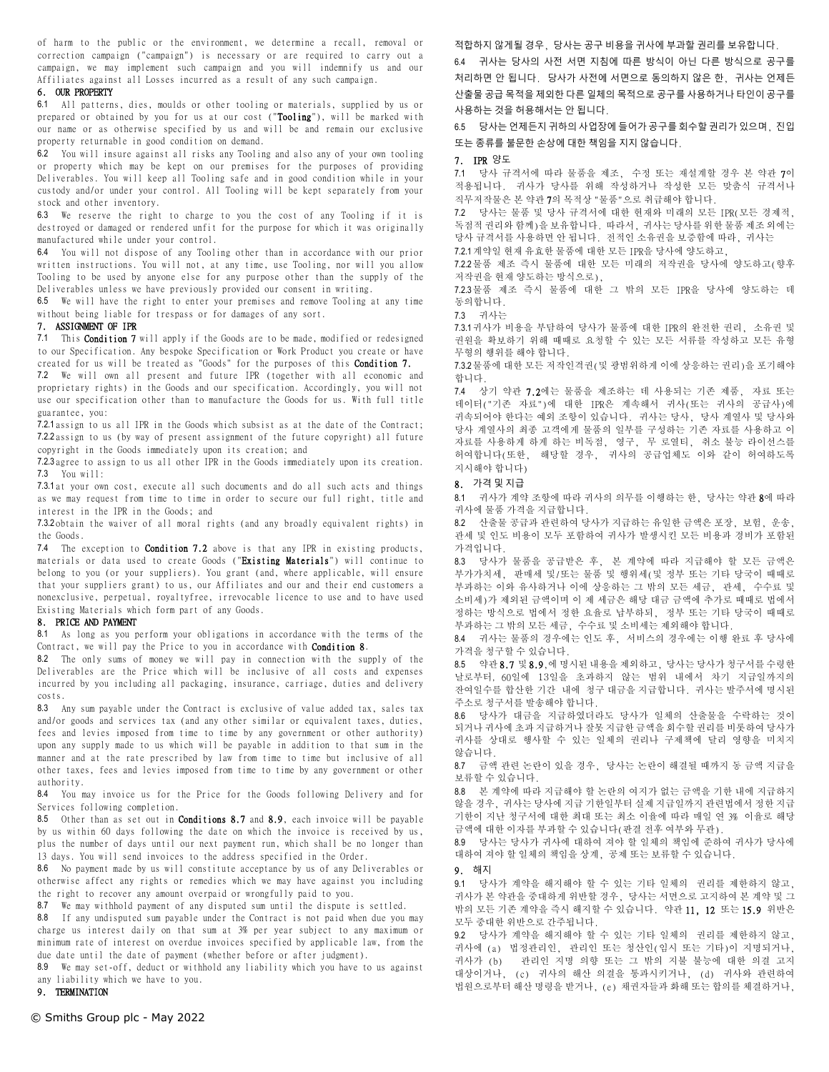of harm to the public or the environment, we determine a recall, removal or correction campaign ("campaign") is necessary or are required to carry out a campaign, we may implement such campaign and you will indemnify us and our Affiliates against all Losses incurred as a result of any such campaign.

#### 6. OUR PROPERTY

6.1 All patterns, dies, moulds or other tooling or materials, supplied by us or prepared or obtained by you for us at our cost ("Tooling"), will be marked with our name or as otherwise specified by us and will be and remain our exclusive property returnable in good condition on demand.

6.2 You will insure against all risks any Tooling and also any of your own tooling or property which may be kept on our premises for the purposes of providing Deliverables. You will keep all Tooling safe and in good condition while in your custody and/or under your control. All Tooling will be kept separately from your stock and other inventory.

6.3 We reserve the right to charge to you the cost of any Tooling if it is destroyed or damaged or rendered unfit for the purpose for which it was originally manufactured while under your control.

6.4 You will not dispose of any Tooling other than in accordance with our prior written instructions. You will not, at any time, use Tooling, nor will you allow Tooling to be used by anyone else for any purpose other than the supply of the Deliverables unless we have previously provided our consent in writing.

6.5 We will have the right to enter your premises and remove Tooling at any time without being liable for trespass or for damages of any sort.

## 7. ASSIGNMENT OF IPR

7.1 This Condition 7 will apply if the Goods are to be made, modified or redesigned to our Specification. Any bespoke Specification or Work Product you create or have created for us will be treated as "Goods" for the purposes of this Condition 7.

7.2 We will own all present and future IPR (together with all economic and proprietary rights) in the Goods and our specification. Accordingly, you will not use our specification other than to manufacture the Goods for us. With full title guarantee, you:

7.2.1 assign to us all IPR in the Goods which subsist as at the date of the Contract; 7.2.2 assign to us (by way of present assignment of the future copyright) all future copyright in the Goods immediately upon its creation; and

7.2.3 agree to assign to us all other IPR in the Goods immediately upon its creation. 7.3 You will:

7.3.1 at your own cost, execute all such documents and do all such acts and things as we may request from time to time in order to secure our full right, title and interest in the IPR in the Goods; and

7.3.2 obtain the waiver of all moral rights (and any broadly equivalent rights) in the Goods.

7.4 The exception to **Condition 7.2** above is that any IPR in existing products, materials or data used to create Goods ("Existing Materials") will continue to belong to you (or your suppliers). You grant (and, where applicable, will ensure that your suppliers grant) to us, our Affiliates and our and their end customers a nonexclusive, perpetual, royaltyfree, irrevocable licence to use and to have used Existing Materials which form part of any Goods.

#### 8. PRICE AND PAYMENT

8.1 As long as you perform your obligations in accordance with the terms of the Contract, we will pay the Price to you in accordance with Condition 8.

8.2 The only sums of money we will pay in connection with the supply of the Deliverables are the Price which will be inclusive of all costs and expenses incurred by you including all packaging, insurance, carriage, duties and delivery costs.

8.3 Any sum payable under the Contract is exclusive of value added tax, sales tax and/or goods and services tax (and any other similar or equivalent taxes, duties, fees and levies imposed from time to time by any government or other authority) upon any supply made to us which will be payable in addition to that sum in the manner and at the rate prescribed by law from time to time but inclusive of all other taxes, fees and levies imposed from time to time by any government or other authority.

8.4 You may invoice us for the Price for the Goods following Delivery and for Services following completion.

8.5 Other than as set out in **Conditions 8.7** and 8.9, each invoice will be payable by us within 60 days following the date on which the invoice is received by us, plus the number of days until our next payment run, which shall be no longer than 13 days. You will send invoices to the address specified in the Order.

8.6 No payment made by us will constitute acceptance by us of any Deliverables or otherwise affect any rights or remedies which we may have against you including the right to recover any amount overpaid or wrongfully paid to you.

8.7 We may withhold payment of any disputed sum until the dispute is settled.

8.8 If any undisputed sum payable under the Contract is not paid when due you may charge us interest daily on that sum at 3% per year subject to any maximum or minimum rate of interest on overdue invoices specified by applicable law, from the due date until the date of payment (whether before or after judgment).

8.9 We may set-off, deduct or withhold any liability which you have to us against any liability which we have to you.

# 9. TERMINATION

© Smiths Group plc - May 2022

적합하지 않게될 경우, 당사는 공구 비용을 귀사에 부과할 권리를 보유합니다.

6.4 귀사는 당사의 사전 서면 지침에 따른 방식이 아닌 다른 방식으로 공구를 처리하면 안 됩니다. 당사가 사전에 서면으로 동의하지 않은 한, 귀사는 언제든 산출물 공급 목적을 제외한 다른 일체의 목적으로 공구를 사용하거나 타인이 공구를 사용하는 것을 허용해서는 안 됩니다.

6.5 당사는 언제든지 귀하의 사업장에 들어가 공구를 회수할 권리가 있으며, 진입 또는 종류를 불문한 손상에 대한 책임을 지지 않습니다.

#### 7. IPR 양도

7.1 당사 규격서에 따라 물품을 제조, 수정 또는 재설계할 경우 본 약관 7이 적용됩니다. 귀사가 당사를 위해 작성하거나 작성한 모든 맞춤식 규격서나 직무저작물은 본 약관 7의 목적상 "물품"으로 취급해야 합니다.

7.2 당사는 물품 및 당사 규격서에 대한 현재와 미래의 모든 IPR(모든 경제적, 독점적 권리와 함께)을 보유합니다. 따라서, 귀사는 당사를 위한 물품 제조 외에는 당사 규격서를 사용하면 안 됩니다. 전적인 소유권을 보증함에 따라, 귀사는 7.2.1계약일 현재 유효한 물품에 대한 모든 IPR을 당사에 양도하고,

7.2.2물품 제조 즉시 물품에 대한 모든 미래의 저작권을 당사에 양도하고(향후 저작권을 현재 양도하는 방식으로),

7.2.3물품 제조 즉시 물품에 대한 그 밖의 모든 IPR을 당사에 양도하는 데 동의합니다.

7.3 귀사는

7.3.1귀사가 비용을 부담하여 당사가 물품에 대한 IPR의 완전한 권리, 소유권 및 권원을 확보하기 위해 때때로 요청할 수 있는 모든 서류를 작성하고 모든 유형 무형의 행위를 해야 합니다.

7.3.2물품에 대한 모든 저작인격권(및 광범위하게 이에 상응하는 권리)을 포기해야 합니다.

7.4 상기 약관 7.2에는 물품을 제조하는 데 사용되는 기존 제품, 자료 또는 데이터("기존 자료")에 대한 IPR은 계속해서 귀사(또는 귀사의 공급사)에 귀속되어야 한다는 예외 조항이 있습니다. 귀사는 당사, 당사 계열사 및 당사와 당사 계열사의 최종 고객에게 물품의 일부를 구성하는 기존 자료를 사용하고 이 자료를 사용하게 하게 하는 비독점, 영구, 무 로열티, 취소 불능 라이선스를 허여합니다(또한, 해당할 경우, 귀사의 공급업체도 이와 같이 허여하도록 지시해야 합니다)

#### 8. 가격 및 지급

8.1 귀사가 계약 조항에 따라 귀사의 의무를 이행하는 한, 당사는 약관 8에 따라 귀사에 물품 가격을 지급합니다.

8.2 산출물 공급과 관련하여 당사가 지급하는 유일한 금액은 포장, 보험, 운송, 관세 및 인도 비용이 모두 포함하여 귀사가 발생시킨 모든 비용과 경비가 포함된 가격입니다.

8.3 당사가 물품을 공급받은 후, 본 계약에 따라 지급해야 할 모든 금액은 부가가치세, 판매세 및/또는 물품 및 행위세(및 정부 또는 기타 당국이 때때로 부과하는 이와 유사하거나 이에 상응하는 그 밖의 모든 세금, 관세, 수수료 및 소비세)가 제외된 금액이며 이 제 세금은 해당 대금 금액에 추가로 때때로 법에서 정하는 방식으로 법에서 정한 요율로 납부하되, 정부 또는 기타 당국이 때때로 부과하는 그 밖의 모든 세금, 수수료 및 소비세는 제외해야 합니다.

8.4 귀사는 물품의 경우에는 인도 후, 서비스의 경우에는 이행 완료 후 당사에 가격을 청구할 수 있습니다.

8.5 약관 8.7 및 8.9,에 명시된 내용을 제외하고, 당사는 당사가 청구서를 수령한 날로부터, 60일에 13일을 초과하지 않는 범위 내에서 차기 지급일까지의 잔여일수를 합산한 기간 내에 청구 대금을 지급합니다. 귀사는 발주서에 명시된 주소로 청구서를 발송해야 합니다.

8.6 당사가 대금을 지급하였더라도 당사가 일체의 산출물을 수락하는 것이 되거나 귀사에 초과 지급하거나 잘못 지급한 금액을 회수할 권리를 비롯하여 당사가 귀사를 상대로 행사할 수 있는 일체의 권리나 구제책에 달리 영향을 미치지 않습니다.

8.7 금액 관련 논란이 있을 경우, 당사는 논란이 해결될 때까지 동 금액 지급을 보류할 수 있습니다.

8.8 본 계약에 따라 지급해야 할 논란의 여지가 없는 금액을 기한 내에 지급하지 않을 경우, 귀사는 당사에 지급 기한일부터 실제 지급일까지 관련법에서 정한 지급 기한이 지난 청구서에 대한 최대 또는 최소 이율에 따라 매일 연 3% 이율로 해당 금액에 대한 이자를 부과할 수 있습니다(판결 전후 여부와 무관).

8.9 당사는 당사가 귀사에 대하여 져야 할 일체의 책임에 준하여 귀사가 당사에 대하여 져야 할 일체의 책임을 상계, 공제 또는 보류할 수 있습니다.

# 9. 해지

9.1 당사가 계약을 해지해야 할 수 있는 기타 일체의 권리를 제한하지 않고, 귀사가 본 약관을 중대하게 위반할 경우, 당사는 서면으로 고지하여 본 계약 및 그 .<br>밖의 모든 기존 계약을 즉시 해지할 수 있습니다. 약관 **11, 12** 또는 **15.9** 위반은 모두 중대한 위반으로 간주됩니다.

9.2 당사가 계약을 해지해야 할 수 있는 기타 일체의 권리를 제한하지 않고, 귀사에 (a) 법정관리인, 관리인 또는 청산인(임시 또는 기타)이 지명되거나, 귀사가 (b) 관리인 지명 의향 또는 그 밖의 지불 불능에 대한 의결 고지 대상이거나, (c) 귀사의 해산 의결을 통과시키거나, (d) 귀사와 관련하여 법원으로부터 해산 명령을 받거나, (e) 채권자들과 화해 또는 합의를 체결하거나,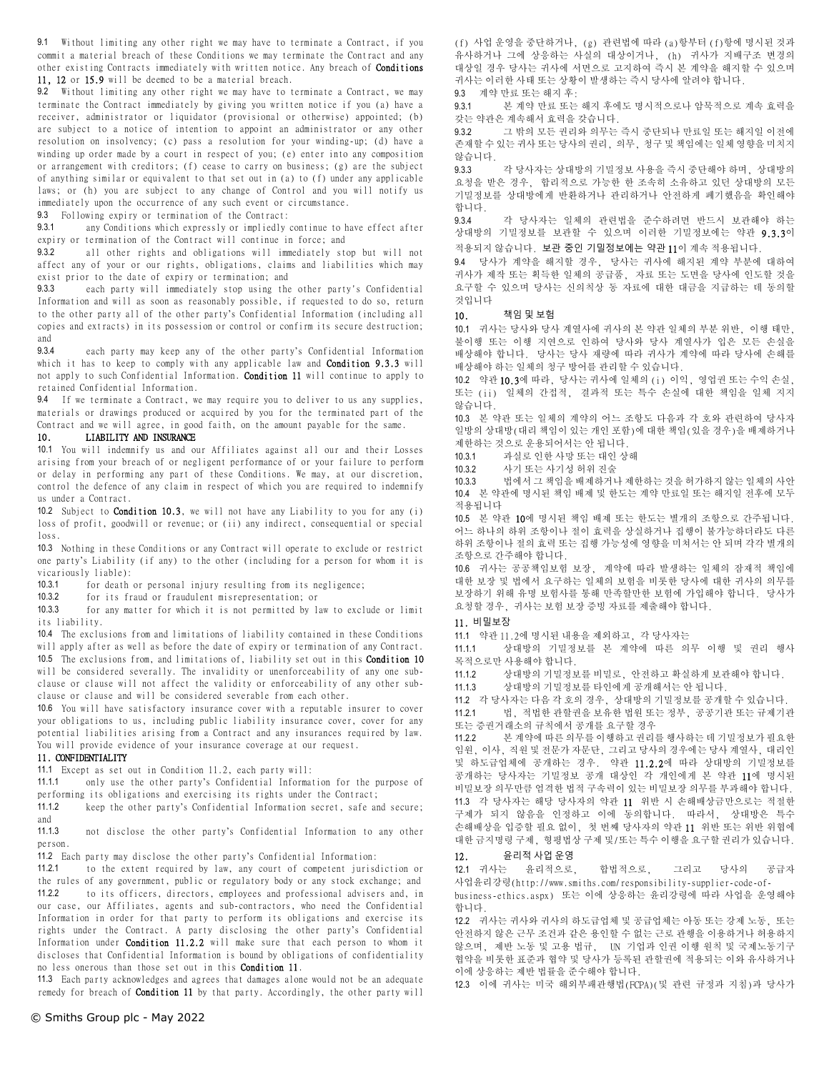9.1 Without limiting any other right we may have to terminate a Contract, if you commit a material breach of these Conditions we may terminate the Contract and any other existing Contracts immediately with written notice. Any breach of Conditions 11, 12 or 15.9 will be deemed to be a material breach.

9.2 Without limiting any other right we may have to terminate a Contract, we may terminate the Contract immediately by giving you written notice if you (a) have a receiver, administrator or liquidator (provisional or otherwise) appointed; (b) are subject to a notice of intention to appoint an administrator or any other resolution on insolvency; (c) pass a resolution for your winding-up; (d) have a winding up order made by a court in respect of you; (e) enter into any composition or arrangement with creditors; (f) cease to carry on business; (g) are the subject of anything similar or equivalent to that set out in (a) to (f) under any applicable laws; or (h) you are subject to any change of Control and you will notify us immediately upon the occurrence of any such event or circumstance.

9.3 Following expiry or termination of the Contract:

9.3.1 any Conditions which expressly or impliedly continue to have effect after expiry or termination of the Contract will continue in force; and

9.3.2 all other rights and obligations will immediately stop but will not affect any of your or our rights, obligations, claims and liabilities which may exist prior to the date of expiry or termination; and

9.3.3 each party will immediately stop using the other party's Confidential Information and will as soon as reasonably possible, if requested to do so, return to the other party all of the other party's Confidential Information (including all copies and extracts) in its possession or control or confirm its secure destruction; and

9.3.4 each party may keep any of the other party's Confidential Information which it has to keep to comply with any applicable law and Condition 9.3.3 will not apply to such Confidential Information. Condition 11 will continue to apply to retained Confidential Information.

9.4 If we terminate a Contract, we may require you to deliver to us any supplies, materials or drawings produced or acquired by you for the terminated part of the Contract and we will agree, in good faith, on the amount payable for the same.

## 10. LIABILITY AND INSURANCE

10.1 You will indemnify us and our Affiliates against all our and their Losses arising from your breach of or negligent performance of or your failure to perform or delay in performing any part of these Conditions. We may, at our discretion, control the defence of any claim in respect of which you are required to indemnify us under a Contract.

10.2 Subject to Condition 10.3, we will not have any Liability to you for any (i) loss of profit, goodwill or revenue; or (ii) any indirect, consequential or special loss.

10.3 Nothing in these Conditions or any Contract will operate to exclude or restrict one party's Liability (if any) to the other (including for a person for whom it is vicariously liable):

10.3.1 for death or personal injury resulting from its negligence;<br>10.3.2 for its fraud or fraudulent misrepresentation: or

10.3.2 for its fraud or fraudulent misrepresentation; or<br>10.3.3 for any matter for which it is not permitted by la

for any matter for which it is not permitted by law to exclude or limit its liability.

10.4 The exclusions from and limitations of liability contained in these Conditions will apply after as well as before the date of expiry or termination of any Contract. 10.5 The exclusions from, and limitations of, liability set out in this **Condition 10** will be considered severally. The invalidity or unenforceability of any one subclause or clause will not affect the validity or enforceability of any other subclause or clause and will be considered severable from each other.

10.6 You will have satisfactory insurance cover with a reputable insurer to cover your obligations to us, including public liability insurance cover, cover for any potential liabilities arising from a Contract and any insurances required by law. You will provide evidence of your insurance coverage at our request.

#### 11. CONFIDENTIALITY

11.1 Except as set out in Condition 11.2, each party will:

11.1.1 only use the other party's Confidential Information for the purpose of performing its obligations and exercising its rights under the Contract;

11.1.2 keep the other party's Confidential Information secret, safe and secure; and

11.1.3 not disclose the other party's Confidential Information to any other person.

11.2 Each party may disclose the other party's Confidential Information:

11.2.1 to the extent required by law, any court of competent jurisdiction or the rules of any government, public or regulatory body or any stock exchange; and 11.2.2 to its officers, directors, employees and professional advisers and, in our case, our Affiliates, agents and sub-contractors, who need the Confidential Information in order for that party to perform its obligations and exercise its rights under the Contract. A party disclosing the other party's Confidential Information under **Condition 11.2.2** will make sure that each person to whom it discloses that Confidential Information is bound by obligations of confidentiality no less onerous than those set out in this Condition 11.

11.3 Each party acknowledges and agrees that damages alone would not be an adequate remedy for breach of Condition 11 by that party. Accordingly, the other party will

(f) 사업 운영을 중단하거나, (g) 관련법에 따라 (a)항부터 (f)항에 명시된 것과 유사하거나 그에 상응하는 사실의 대상이거나, (h) 귀사가 지배구조 변경의 대상일 경우 당사는 귀사에 서면으로 고지하여 즉시 본 계약을 해지할 수 있으며 귀사는 이러한 사태 또는 상황이 발생하는 즉시 당사에 알려야 합니다.

9.3 계약 만료 또는 해지 후:

9.3.1 본 계약 만료 또는 해지 후에도 명시적으로나 암묵적으로 계속 효력을 갖는 약관은 계속해서 효력을 갖습니다.

9.3.2 그 밖의 모든 권리와 의무는 즉시 중단되나 만료일 또는 해지일 이전에 존재할 수 있는 귀사 또는 당사의 권리, 의무, 청구 및 책임에는 일체 영향을 미치지 않습니다.

9.3.3 각 당사자는 상대방의 기밀정보 사용을 즉시 중단해야 하며, 상대방의 요청을 받은 경우, 합리적으로 가능한 한 조속히 소유하고 있던 상대방의 모든 기밀정보를 상대방에게 반환하거나 관리하거나 안전하게 폐기했음을 확인해야 합니다.

9.3.4 각 당사자는 일체의 관련법을 준수하려면 반드시 보관해야 하는 상대방의 기밀정보를 보관할 수 있으며 이러한 기밀정보에는 약관 9.3.3이 적용되지 않습니다. 보관 중인 기밀정보에는 약관 11이 계속 적용됩니다.

9.4 당사가 계약을 해지할 경우, 당사는 귀사에 해지된 계약 부분에 대하여 귀사가 제작 또는 획득한 일체의 공급품, 자료 또는 도면을 당사에 인도할 것을 요구할 수 있으며 당사는 신의칙상 동 자료에 대한 대금을 지급하는 데 동의할 것입니다

### 10. 책임 및 보험

10.1 귀사는 당사와 당사 계열사에 귀사의 본 약관 일체의 부분 위반, 이행 태만, 불이행 또는 이행 지연으로 인하여 당사와 당사 계열사가 입은 모든 손실을 배상해야 합니다. 당사는 당사 재량에 따라 귀사가 계약에 따라 당사에 손해를 배상해야 하는 일체의 청구 방어를 관리할 수 있습니다.

10.2 약관 10.3에 따라, 당사는 귀사에 일체의 (i) 이익, 영업권 또는 수익 손실, 또는 (ii) 일체의 간접적, 결과적 또는 특수 손실에 대한 책임을 일체 지지 않습니다.

10.3 본 약관 또는 일체의 계약의 어느 조항도 다음과 각 호와 관련하여 당사자 일방의 상대방(대리 책임이 있는 개인 포함)에 대한 책임(있을 경우)을 배제하거나 제한하는 것으로 운용되어서는 안 됩니다.

10.3.1 과실로 인한 사망 또는 대인 상해<br>10.3.2 사기 또는 사기성 허위 지숙

사기 또는 사기성 허위 진술

10.3.3 법에서 그 책임을 배제하거나 제한하는 것을 허가하지 않는 일체의 사안 10.4 본 약관에 명시된 책임 배제 및 한도는 계약 만료일 또는 해지일 전후에 모두 적용됩니다

10.5 본 약관 10에 명시된 책임 배제 또는 한도는 별개의 조항으로 간주됩니다. 어느 하나의 하위 조항이나 절이 효력을 상실하거나 집행이 불가능하더라도 다른 하위 조항이나 절의 효력 또는 집행 가능성에 영향을 미쳐서는 안 되며 각각 별개의 조항으로 간주해야 합니다.

10.6 귀사는 공공책임보험 보장, 계약에 따라 발생하는 일체의 잠재적 책임에 대한 보장 및 법에서 요구하는 일체의 보험을 비롯한 당사에 대한 귀사의 의무를 보장하기 위해 유명 보험사를 통해 만족할만한 보험에 가입해야 합니다. 당사가 요청할 경우, 귀사는 보험 보장 증빙 자료를 제출해야 합니다.

# 11. 비밀보장

11.1 약관 11.2에 명시된 내용을 제외하고, 각 당사자는

11.1.1 상대방의 기밀정보를 본 계약에 따른 의무 이행 및 권리 행사 목적으로만 사용해야 합니다.

11.1.2 상대방의 기밀정보를 비밀로, 안전하고 확실하게 보관해야 합니다.

11.1.3 상대방의 기밀정보를 타인에게 공개해서는 안 됩니다.

11.2 각 당사자는 다음 각 호의 경우, 상대방의 기밀정보를 공개할 수 있습니다.

11.2.1 법, 적법한 관할권을 보유한 법원 또는 정부, 공공기관 또는 규제기관 또는 증권거래소의 규칙에서 공개를 요구할 경우

11.2.2 본 계약에 따른 의무를 이행하고 권리를 행사하는 데 기밀정보가 필요한 임원, 이사, 직원 및 전문가 자문단, 그리고 당사의 경우에는 당사 계열사, 대리인 및 하도급업체에 공개하는 경우. 약관 11.2.2에 따라 상대방의 기밀정보를 공개하는 당사자는 기밀정보 공개 대상인 각 개인에게 본 약관 11에 명시된 비밀보장 의무만큼 엄격한 법적 구속력이 있는 비밀보장 의무를 부과해야 합니다. 11.3 각 당사자는 해당 당사자의 약관 11 위반 시 손해배상금만으로는 적절한 구제가 되지 않음을 인정하고 이에 동의합니다. 따라서, 상대방은 특수 손해배상을 입증할 필요 없이, 첫 번째 당사자의 약관 11 위반 또는 위반 위협에 대한 금지명령 구제, 형평법상 구제 및/또는 특수 이행을 요구할 권리가 있습니다.

#### 12. 윤리적 사업 운영

12.1 귀사는 윤리적으로, 합법적으로, 그리고 당사의 공급자 사업윤리강령(http://www.smiths.com/responsibility-supplier-code-of-

business-ethics.aspx) 또는 이에 상응하는 윤리강령에 따라 사업을 운영해야 합니다.

12.2 귀사는 귀사와 귀사의 하도급업체 및 공급업체는 아동 또는 강제 노동, 또는 안전하지 않은 근무 조건과 같은 용인할 수 없는 근로 관행을 이용하거나 허용하지 않으며, 제반 노동 및 고용 법규, UN 기업과 인권 이행 원칙 및 국제노동기구 협약을 비롯한 표준과 협약 및 당사가 등록된 관할권에 적용되는 이와 유사하거나 이에 상응하는 제반 법률을 준수해야 합니다.

12.3 이에 귀사는 미국 해외부패관행법(FCPA)(및 관련 규정과 지침)과 당사가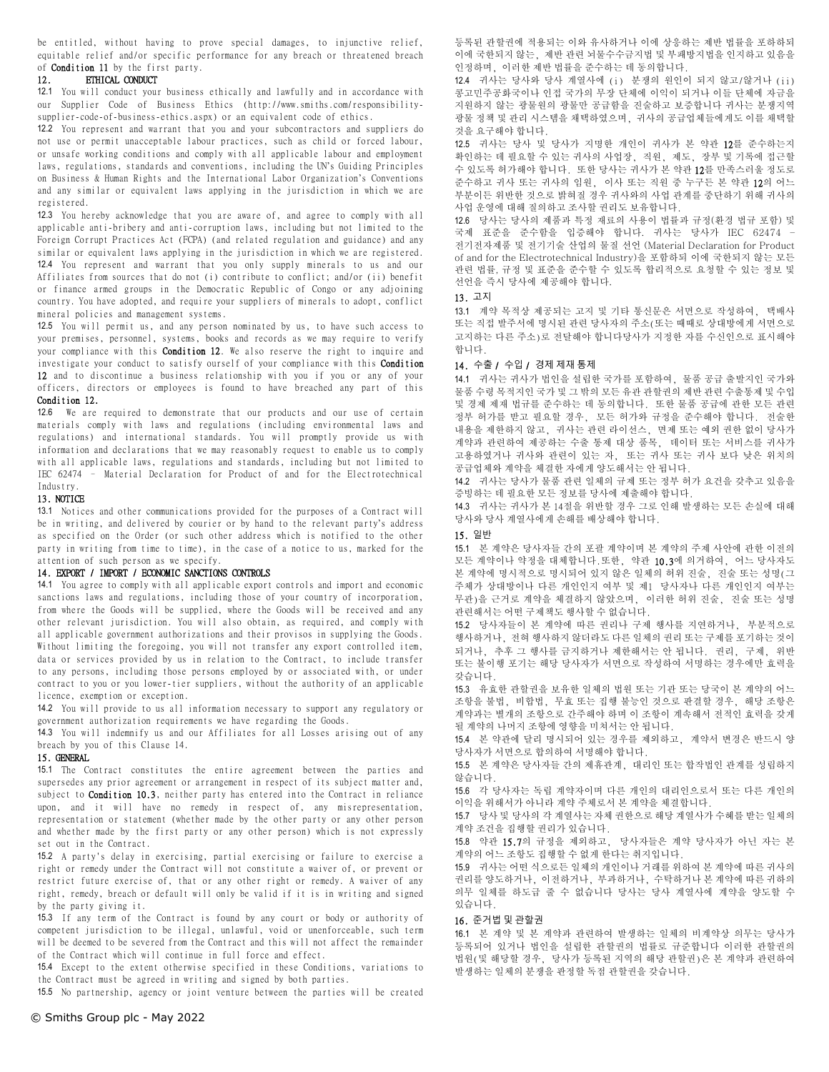be entitled, without having to prove special damages, to injunctive relief, equitable relief and/or specific performance for any breach or threatened breach of Condition 11 by the first party.

#### 12. ETHICAL CONDUCT

12.1 You will conduct your business ethically and lawfully and in accordance with our Supplier Code of Business Ethics (http://www.smiths.com/responsibilitysupplier-code-of-business-ethics.aspx) or an equivalent code of ethics.

12.2 You represent and warrant that you and your subcontractors and suppliers do not use or permit unacceptable labour practices, such as child or forced labour, or unsafe working conditions and comply with all applicable labour and employment laws, regulations, standards and conventions, including the UN's Guiding Principles on Business & Human Rights and the International Labor Organization's Conventions and any similar or equivalent laws applying in the jurisdiction in which we are registered.

12.3 You hereby acknowledge that you are aware of, and agree to comply with all applicable anti-bribery and anti-corruption laws, including but not limited to the Foreign Corrupt Practices Act (FCPA) (and related regulation and guidance) and any similar or equivalent laws applying in the jurisdiction in which we are registered.

12.4 You represent and warrant that you only supply minerals to us and our Affiliates from sources that do not (i) contribute to conflict; and/or (ii) benefit or finance armed groups in the Democratic Republic of Congo or any adjoining country. You have adopted, and require your suppliers of minerals to adopt, conflict mineral policies and management systems.

12.5 You will permit us, and any person nominated by us, to have such access to your premises, personnel, systems, books and records as we may require to verify your compliance with this **Condition 12**. We also reserve the right to inquire and investigate your conduct to satisfy ourself of your compliance with this Condition 12 and to discontinue a business relationship with you if you or any of your officers, directors or employees is found to have breached any part of this Condition 12.

12.6 We are required to demonstrate that our products and our use of certain materials comply with laws and regulations (including environmental laws and regulations) and international standards. You will promptly provide us with information and declarations that we may reasonably request to enable us to comply with all applicable laws, regulations and standards, including but not limited to IEC 62474 – Material Declaration for Product of and for the Electrotechnical Industry.

### 13. NOTICE

13.1 Notices and other communications provided for the purposes of a Contract will be in writing, and delivered by courier or by hand to the relevant party's address as specified on the Order (or such other address which is notified to the other party in writing from time to time), in the case of a notice to us, marked for the attention of such person as we specify.

### 14. EXPORT / IMPORT / ECONOMIC SANCTIONS CONTROLS

14.1 You agree to comply with all applicable export controls and import and economic sanctions laws and regulations, including those of your country of incorporation, from where the Goods will be supplied, where the Goods will be received and any other relevant jurisdiction. You will also obtain, as required, and comply with all applicable government authorizations and their provisos in supplying the Goods. Without limiting the foregoing, you will not transfer any export controlled item, data or services provided by us in relation to the Contract, to include transfer to any persons, including those persons employed by or associated with, or under contract to you or you lower-tier suppliers, without the authority of an applicable licence, exemption or exception.

14.2 You will provide to us all information necessary to support any regulatory or government authorization requirements we have regarding the Goods.

14.3 You will indemnify us and our Affiliates for all Losses arising out of any breach by you of this Clause 14.

### 15. GENERAL

15.1 The Contract constitutes the entire agreement between the parties and supersedes any prior agreement or arrangement in respect of its subject matter and, subject to Condition 10.3, neither party has entered into the Contract in reliance upon, and it will have no remedy in respect of, any misrepresentation, representation or statement (whether made by the other party or any other person and whether made by the first party or any other person) which is not expressly set out in the Contract.

15.2 A party's delay in exercising, partial exercising or failure to exercise a right or remedy under the Contract will not constitute a waiver of, or prevent or restrict future exercise of, that or any other right or remedy. A waiver of any right, remedy, breach or default will only be valid if it is in writing and signed by the party giving it.

15.3 If any term of the Contract is found by any court or body or authority of competent jurisdiction to be illegal, unlawful, void or unenforceable, such term will be deemed to be severed from the Contract and this will not affect the remainder of the Contract which will continue in full force and effect.

15.4 Except to the extent otherwise specified in these Conditions, variations to the Contract must be agreed in writing and signed by both parties.

15.5 No partnership, agency or joint venture between the parties will be created

등록된 관할권에 적용되는 이와 유사하거나 이에 상응하는 제반 법률을 포하하되 이에 국한되지 않는, 제반 관련 뇌물수수금지법 및 부패방지법을 인지하고 있음을 인정하며, 이러한 제반 법률을 준수하는 데 동의합니다.

12.4 귀사는 당사와 당사 계열사에 (i) 분쟁의 원인이 되지 않고/않거나 (ii) 콩고민주공화국이나 인접 국가의 무장 단체에 이익이 되거나 이들 단체에 자금을 지원하지 않는 광물원의 광물만 공급함을 진술하고 보증합니다 귀사는 분쟁지역 광물 정책 및 관리 시스템을 채택하였으며, 귀사의 공급업체들에게도 이를 채택할 것을 요구해야 합니다.

12.5 귀사는 당사 및 당사가 지명한 개인이 귀사가 본 약관 12를 준수하는지 확인하는 데 필요할 수 있는 귀사의 사업장, 직원, 제도, 장부 및 기록에 접근할 수 있도록 허가해야 합니다. 또한 당사는 귀사가 본 약관 12를 만족스러울 정도로 준수하고 귀사 또는 귀사의 임원, 이사 또는 직원 중 누구든 본 약관 12의 어느 부분이든 위반한 것으로 밝혀질 경우 귀사와의 사업 관계를 중단하기 위해 귀사의 사업 운영에 대해 질의하고 조사할 권리도 보유합니다.

12.6 당사는 당사의 제품과 특정 재료의 사용이 법률과 규정(환경 법규 포함) 및 국제 표준을 준수함을 입증해야 합니다. 귀사는 당사가 IEC 62474 – 전기전자제품 및 전기기술 산업의 물질 선언 (Material Declaration for Product of and for the Electrotechnical Industry)을 포함하되 이에 국한되지 않는 모든 관련 법률, 규정 및 표준을 준수할 수 있도록 합리적으로 요청할 수 있는 정보 및 선언을 즉시 당사에 제공해야 합니다.

## 13. 고지

13.1 계약 목적상 제공되는 고지 및 기타 통신문은 서면으로 작성하여, 택배사 또는 직접 발주서에 명시된 관련 당사자의 주소(또는 때때로 상대방에게 서면으로 고지하는 다른 주소)로 전달해야 합니다당사가 지정한 자를 수신인으로 표시해야 합니다.

### 14. 수출 / 수입 / 경제 제재 통제

14.1 귀사는 귀사가 법인을 설립한 국가를 포함하여, 물품 공급 출발지인 국가와 물품 수령 목적지인 국가 및 그 밖의 모든 유관 관할권의 제반 관련 수출통제 및 수입 및 경제 제재 법규를 준수하는 데 동의합니다. 또한 물품 공급에 관한 모든 관련 정부 허가를 받고 필요할 경우, 모든 허가와 규정을 준수해야 합니다. 전술한 내용을 제한하지 않고, 귀사는 관련 라이선스, 면제 또는 예외 권한 없이 당사가 계약과 관련하여 제공하는 수출 통제 대상 품목, 데이터 또는 서비스를 귀사가 고용하였거나 귀사와 관련이 있는 자, 또는 귀사 또는 귀사 보다 낮은 위치의 공급업체와 계약을 체결한 자에게 양도해서는 안 됩니다.

14.2 귀사는 당사가 물품 관련 일체의 규제 또는 정부 허가 요건을 갖추고 있음을 증빙하는 데 필요한 모든 정보를 당사에 제출해야 합니다.

14.3 귀사는 귀사가 본 14절을 위반할 경우 그로 인해 발생하는 모든 손실에 대해 당사와 당사 계열사에게 손해를 배상해야 합니다.

### 15. 일반

15.1 본 계약은 당사자들 간의 포괄 계약이며 본 계약의 주제 사안에 관한 이전의 모든 계약이나 약정을 대체합니다.또한, 약관 10.3에 의거하여, 어느 당사자도 본 계약에 명시적으로 명시되어 있지 않은 일체의 허위 진술, 진술 또는 성명(그 주체가 상대방이나 다른 개인인지 여부 및 제1 당사자나 다른 개인인지 여부는 무관)을 근거로 계약을 체결하지 않았으며, 이러한 허위 진술, 진술 또는 성명 관련해서는 어떤 구제책도 행사할 수 없습니다.

15.2 당사자들이 본 계약에 따른 권리나 구제 행사를 지연하거나, 부분적으로 행사하거나, 전혀 행사하지 않더라도 다른 일체의 권리 또는 구제를 포기하는 것이 되거나, 추후 그 행사를 금지하거나 제한해서는 안 됩니다. 권리, 구제, 위반 또는 불이행 포기는 해당 당사자가 서면으로 작성하여 서명하는 경우에만 효력을 갖습니다.

15.3 유효한 관할권을 보유한 일체의 법원 또는 기관 또는 당국이 본 계약의 어느 조항을 불법, 비합법, 무효 또는 집행 불능인 것으로 판결할 경우, 해당 조항은 계약과는 별개의 조항으로 간주해야 하며 이 조항이 계속해서 전적인 효력을 갖게 될 계약의 나머지 조항에 영향을 미쳐서는 안 됩니다.

15.4 본 약관에 달리 명시되어 있는 경우를 제외하고, 계약서 변경은 반드시 양 당사자가 서면으로 합의하여 서명해야 합니다.

15.5 본 계약은 당사자들 간의 제휴관계, 대리인 또는 합작법인 관계를 성립하지 않습니다.

15.6 각 당사자는 독립 계약자이며 다른 개인의 대리인으로서 또는 다른 개인의 이익을 위해서가 아니라 계약 주체로서 본 계약을 체결합니다.

15.7 당사 및 당사의 각 계열사는 자체 권한으로 해당 계열사가 수혜를 받는 일체의 계약 조건을 집행할 권리가 있습니다.

15.8 약관 15.7의 규정을 제외하고, 당사자들은 계약 당사자가 아닌 자는 본 계약의 어느 조항도 집행할 수 없게 한다는 취지입니다.

15.9 귀사는 어떤 식으로든 일체의 개인이나 거래를 위하여 본 계약에 따른 귀사의 권리를 양도하거나, 이전하거나, 부과하거나, 수탁하거나 본 계약에 따른 귀하의 의무 일체를 하도급 줄 수 없습니다 당사는 당사 계열사에 계약을 양도할 수 있습니다.

#### 16. 준거법 및 관할권

16.1 본 계약 및 본 계약과 관련하여 발생하는 일체의 비계약상 의무는 당사가 등록되어 있거나 법인을 설립한 관할권의 법률로 규준합니다 이러한 관할권의 법원(및 해당할 경우, 당사가 등록된 지역의 해당 관할권)은 본 계약과 관련하여 발생하는 일체의 분쟁을 판정할 독점 관할권을 갖습니다.